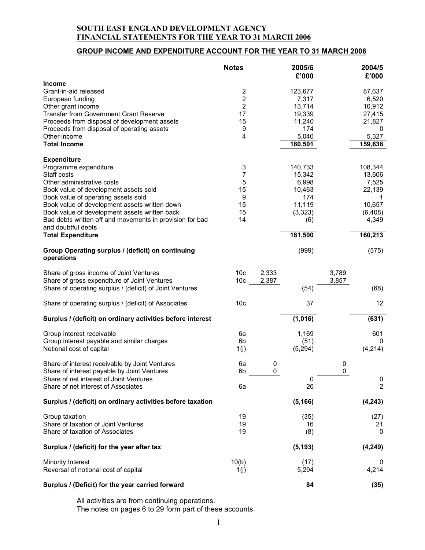# **GROUP INCOME AND EXPENDITURE ACCOUNT FOR THE YEAR TO 31 MARCH 2006**

|                                                                              | <b>Notes</b>                  |       | 2005/6<br>£'000 |       | 2004/5<br>£'000 |
|------------------------------------------------------------------------------|-------------------------------|-------|-----------------|-------|-----------------|
| <b>Income</b>                                                                |                               |       |                 |       |                 |
| Grant-in-aid released                                                        | $\overline{\mathbf{c}}$       |       | 123,677         |       | 87,637          |
| European funding<br>Other grant income                                       | $\mathbf 2$<br>$\overline{2}$ |       | 7,317<br>13,714 |       | 6,520<br>10,912 |
| <b>Transfer from Government Grant Reserve</b>                                | 17                            |       | 19,339          |       | 27,415          |
| Proceeds from disposal of development assets                                 | 15                            |       | 11,240          |       | 21,827          |
| Proceeds from disposal of operating assets                                   | 9                             |       | 174             |       | 0               |
| Other income                                                                 | $\overline{\mathbf{4}}$       |       | 5,040           |       | 5,327           |
| <b>Total Income</b>                                                          |                               |       | 180,501         |       | 159,638         |
| <b>Expenditure</b>                                                           |                               |       |                 |       |                 |
| Programme expenditure                                                        | 3                             |       | 140,733         |       | 108,344         |
| Staff costs                                                                  | 7                             |       | 15,342          |       | 13,606          |
| Other administrative costs                                                   | 5                             |       | 6,998           |       | 7,525           |
| Book value of development assets sold<br>Book value of operating assets sold | 15<br>9                       |       | 10,463          |       | 22,139<br>1     |
| Book value of development assets written down                                | 15                            |       | 174<br>11,119   |       | 10,657          |
| Book value of development assets written back                                | 15                            |       | (3,323)         |       | (6, 408)        |
| Bad debts written off and movements in provision for bad                     | 14                            |       | (6)             |       | 4,349           |
| and doubtful debts                                                           |                               |       |                 |       |                 |
| <b>Total Expenditure</b>                                                     |                               |       | 181,500         |       | 160,213         |
| Group Operating surplus / (deficit) on continuing<br>operations              |                               |       | (999)           |       | (575)           |
| Share of gross income of Joint Ventures                                      | 10 <sub>c</sub>               | 2,333 |                 | 3,789 |                 |
| Share of gross expenditure of Joint Ventures                                 | 10 <sub>c</sub>               | 2,387 |                 | 3,857 |                 |
| Share of operating surplus / (deficit) of Joint Ventures                     |                               |       | (54)            |       | (68)            |
| Share of operating surplus / (deficit) of Associates                         | 10 <sub>c</sub>               |       | 37              |       | 12              |
| Surplus / (deficit) on ordinary activities before interest                   |                               |       | (1,016)         |       | (631)           |
| Group interest receivable                                                    | 6a                            |       | 1,169           |       | 601             |
| Group interest payable and similar charges                                   | 6 <sub>b</sub>                |       | (51)            |       | 0               |
| Notional cost of capital                                                     | 1(j)                          |       | (5,294)         |       | (4,214)         |
| Share of interest receivable by Joint Ventures                               | 6a                            | 0     |                 | 0     |                 |
| Share of interest payable by Joint Ventures                                  | 6b                            | 0     |                 | 0     |                 |
| Share of net interest of Joint Ventures                                      |                               |       | 0               |       | 0               |
| Share of net interest of Associates                                          | 6a                            |       | 26              |       | 2               |
| Surplus / (deficit) on ordinary activities before taxation                   |                               |       | (5, 166)        |       | (4, 243)        |
| Group taxation                                                               | 19                            |       | (35)            |       | (27)            |
| Share of taxation of Joint Ventures                                          | 19                            |       | 16              |       | 21              |
| Share of taxation of Associates                                              | 19                            |       | (8)             |       | 0               |
| Surplus / (deficit) for the year after tax                                   |                               |       | (5, 193)        |       | (4, 249)        |
| <b>Minority Interest</b>                                                     | 10(b)                         |       | (17)            |       | 0               |
| Reversal of notional cost of capital                                         | 1(j)                          |       | 5,294           |       | 4,214           |
|                                                                              |                               |       |                 |       |                 |
| Surplus / (Deficit) for the year carried forward                             |                               |       | 84              |       | (35)            |

All activities are from continuing operations. The notes on pages 6 to 29 form part of these accounts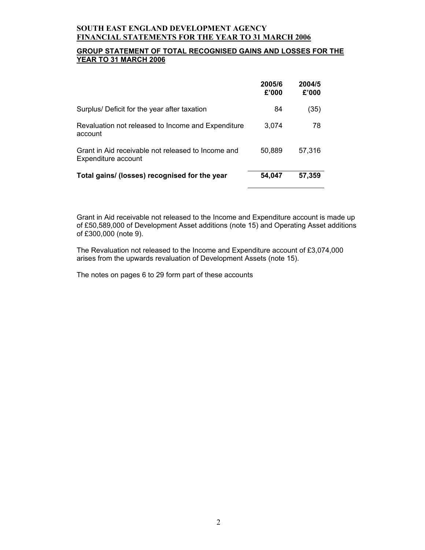## **GROUP STATEMENT OF TOTAL RECOGNISED GAINS AND LOSSES FOR THE YEAR TO 31 MARCH 2006**

|                                                                           | 2005/6<br>£'000 | 2004/5<br>£'000 |
|---------------------------------------------------------------------------|-----------------|-----------------|
| Surplus/ Deficit for the year after taxation                              | 84              | (35)            |
| Revaluation not released to Income and Expenditure<br>account             | 3.074           | 78              |
| Grant in Aid receivable not released to Income and<br>Expenditure account | 50,889          | 57,316          |
| Total gains/ (losses) recognised for the year                             | 54,047          | 57,359          |

Grant in Aid receivable not released to the Income and Expenditure account is made up of £50,589,000 of Development Asset additions (note 15) and Operating Asset additions of £300,000 (note 9).

The Revaluation not released to the Income and Expenditure account of £3,074,000 arises from the upwards revaluation of Development Assets (note 15).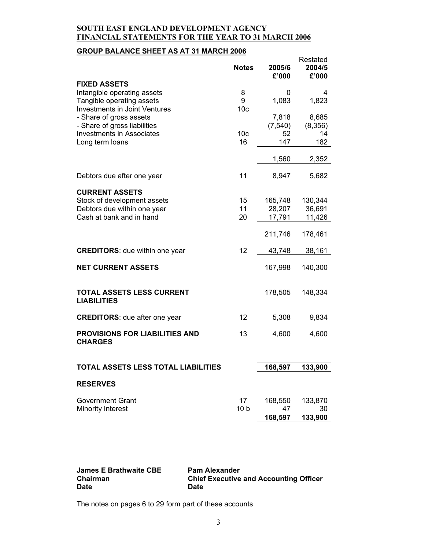# **GROUP BALANCE SHEET AS AT 31 MARCH 2006**

|                                       |                 |          | Restated |
|---------------------------------------|-----------------|----------|----------|
|                                       | <b>Notes</b>    | 2005/6   | 2004/5   |
|                                       |                 | £'000    | £'000    |
| <b>FIXED ASSETS</b>                   |                 |          |          |
| Intangible operating assets           | 8               | 0        | 4        |
| Tangible operating assets             | 9               | 1,083    | 1,823    |
| <b>Investments in Joint Ventures</b>  | 10 <sub>c</sub> |          |          |
| - Share of gross assets               |                 | 7,818    | 8,685    |
| - Share of gross liabilities          |                 | (7, 540) | (8,356)  |
| <b>Investments in Associates</b>      | 10 <sub>c</sub> | 52       | 14       |
| Long term loans                       | 16              | 147      | 182      |
|                                       |                 |          |          |
|                                       |                 | 1,560    | 2,352    |
|                                       |                 |          |          |
| Debtors due after one year            | 11              | 8,947    | 5,682    |
|                                       |                 |          |          |
| <b>CURRENT ASSETS</b>                 |                 |          |          |
| Stock of development assets           | 15              | 165,748  | 130,344  |
| Debtors due within one year           | 11              | 28,207   | 36,691   |
| Cash at bank and in hand              | 20              | 17,791   | 11,426   |
|                                       |                 |          |          |
|                                       |                 | 211,746  | 178,461  |
|                                       |                 |          |          |
| <b>CREDITORS:</b> due within one year | 12              | 43,748   | 38,161   |
|                                       |                 |          |          |
| <b>NET CURRENT ASSETS</b>             |                 | 167,998  | 140,300  |
|                                       |                 |          |          |
|                                       |                 |          |          |
| <b>TOTAL ASSETS LESS CURRENT</b>      |                 | 178,505  | 148,334  |
| <b>LIABILITIES</b>                    |                 |          |          |
|                                       |                 |          |          |
| <b>CREDITORS:</b> due after one year  | 12              | 5,308    | 9,834    |
|                                       |                 |          |          |
| <b>PROVISIONS FOR LIABILITIES AND</b> | 13              | 4,600    | 4,600    |
| <b>CHARGES</b>                        |                 |          |          |
|                                       |                 |          |          |
|                                       |                 |          |          |
| TOTAL ASSETS LESS TOTAL LIABILITIES   |                 | 168,597  | 133.900  |
|                                       |                 |          |          |
| <b>RESERVES</b>                       |                 |          |          |
|                                       |                 |          |          |
| <b>Government Grant</b>               | 17              | 168,550  | 133,870  |
| <b>Minority Interest</b>              | 10 <sub>b</sub> | 47       | 30       |
|                                       |                 | 168,597  | 133,900  |
|                                       |                 |          |          |

| James E Brathwaite CBE | <b>Pam Alexander</b>                          |
|------------------------|-----------------------------------------------|
| Chairman               | <b>Chief Executive and Accounting Officer</b> |
| Date                   | <b>Date</b>                                   |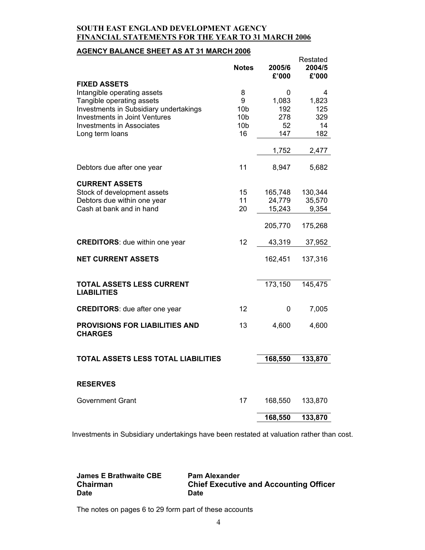# **AGENCY BALANCE SHEET AS AT 31 MARCH 2006**

|                                                         |                 |                 | Restated        |
|---------------------------------------------------------|-----------------|-----------------|-----------------|
|                                                         | <b>Notes</b>    | 2005/6<br>£'000 | 2004/5<br>£'000 |
| <b>FIXED ASSETS</b>                                     |                 |                 |                 |
| Intangible operating assets                             | 8               | 0               | 4               |
| Tangible operating assets                               | 9               | 1,083           | 1,823           |
| Investments in Subsidiary undertakings                  | 10 <sub>b</sub> | 192             | 125             |
| <b>Investments in Joint Ventures</b>                    | 10 <sub>b</sub> | 278             | 329             |
| <b>Investments in Associates</b>                        | 10 <sub>b</sub> | 52              | 14              |
| Long term loans                                         | 16              | 147             | 182             |
|                                                         |                 |                 |                 |
|                                                         |                 | 1,752           | 2,477           |
| Debtors due after one year                              | 11              | 8,947           | 5,682           |
| <b>CURRENT ASSETS</b>                                   |                 |                 |                 |
| Stock of development assets                             | 15              | 165,748         | 130,344         |
| Debtors due within one year                             | 11              | 24,779          | 35,570          |
| Cash at bank and in hand                                | 20              | 15,243          | 9,354           |
|                                                         |                 | 205,770         | 175,268         |
| <b>CREDITORS:</b> due within one year                   | 12              | 43,319          | 37,952          |
| <b>NET CURRENT ASSETS</b>                               |                 | 162,451         | 137,316         |
| <b>TOTAL ASSETS LESS CURRENT</b><br><b>LIABILITIES</b>  |                 | 173,150         | 145,475         |
| <b>CREDITORS:</b> due after one year                    | 12              | 0               | 7,005           |
| <b>PROVISIONS FOR LIABILITIES AND</b><br><b>CHARGES</b> | 13              | 4,600           | 4,600           |
| <b>TOTAL ASSETS LESS TOTAL LIABILITIES</b>              |                 | 168,550         | 133,870         |
|                                                         |                 |                 |                 |
| <b>RESERVES</b>                                         |                 |                 |                 |
| <b>Government Grant</b>                                 | 17              | 168,550         | 133,870         |
|                                                         |                 | 168,550         | 133,870         |
|                                                         |                 |                 |                 |

Investments in Subsidiary undertakings have been restated at valuation rather than cost.

**James E Brathwaite CBE Pam Alexander** 

**Chairman Chief Executive and Accounting Officer Date Date**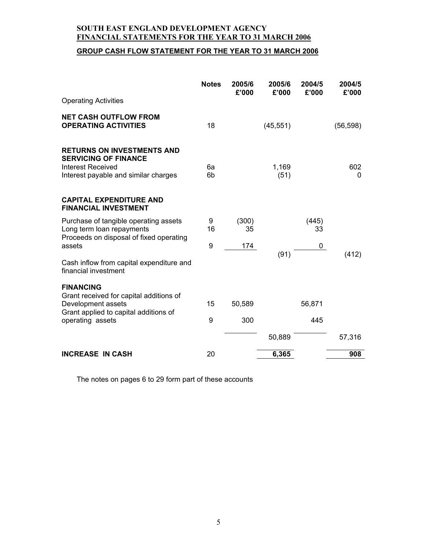# **GROUP CASH FLOW STATEMENT FOR THE YEAR TO 31 MARCH 2006**

|                                                                                                                               | <b>Notes</b> | 2005/6<br>£'000 | 2005/6<br>£'000 | 2004/5<br>£'000 | 2004/5<br>£'000 |
|-------------------------------------------------------------------------------------------------------------------------------|--------------|-----------------|-----------------|-----------------|-----------------|
| <b>Operating Activities</b>                                                                                                   |              |                 |                 |                 |                 |
| <b>NET CASH OUTFLOW FROM</b><br><b>OPERATING ACTIVITIES</b>                                                                   | 18           |                 | (45, 551)       |                 | (56, 598)       |
| <b>RETURNS ON INVESTMENTS AND</b><br><b>SERVICING OF FINANCE</b><br>Interest Received<br>Interest payable and similar charges | 6a<br>6b     |                 | 1,169<br>(51)   |                 | 602<br>0        |
| <b>CAPITAL EXPENDITURE AND</b><br><b>FINANCIAL INVESTMENT</b>                                                                 |              |                 |                 |                 |                 |
| Purchase of tangible operating assets<br>Long term loan repayments<br>Proceeds on disposal of fixed operating                 | 9<br>16      | (300)<br>35     |                 | (445)<br>33     |                 |
| assets                                                                                                                        | 9            | 174             |                 | 0               |                 |
| Cash inflow from capital expenditure and<br>financial investment                                                              |              |                 | (91)            |                 | (412)           |
| <b>FINANCING</b><br>Grant received for capital additions of                                                                   |              |                 |                 |                 |                 |
| Development assets<br>Grant applied to capital additions of                                                                   | 15           | 50,589          |                 | 56,871          |                 |
| operating assets                                                                                                              | 9            | 300             |                 | 445             |                 |
|                                                                                                                               |              |                 | 50,889          |                 | 57,316          |
| <b>INCREASE IN CASH</b>                                                                                                       | 20           |                 | 6,365           |                 | 908             |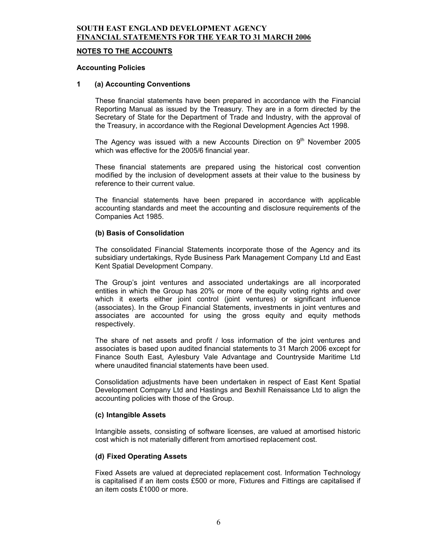#### **NOTES TO THE ACCOUNTS**

#### **Accounting Policies**

#### **1 (a) Accounting Conventions**

These financial statements have been prepared in accordance with the Financial Reporting Manual as issued by the Treasury. They are in a form directed by the Secretary of State for the Department of Trade and Industry, with the approval of the Treasury, in accordance with the Regional Development Agencies Act 1998.

The Agency was issued with a new Accounts Direction on  $9<sup>th</sup>$  November 2005 which was effective for the 2005/6 financial year.

These financial statements are prepared using the historical cost convention modified by the inclusion of development assets at their value to the business by reference to their current value.

The financial statements have been prepared in accordance with applicable accounting standards and meet the accounting and disclosure requirements of the Companies Act 1985.

#### **(b) Basis of Consolidation**

The consolidated Financial Statements incorporate those of the Agency and its subsidiary undertakings, Ryde Business Park Management Company Ltd and East Kent Spatial Development Company.

The Group's joint ventures and associated undertakings are all incorporated entities in which the Group has 20% or more of the equity voting rights and over which it exerts either joint control (joint ventures) or significant influence (associates). In the Group Financial Statements, investments in joint ventures and associates are accounted for using the gross equity and equity methods respectively.

The share of net assets and profit / loss information of the joint ventures and associates is based upon audited financial statements to 31 March 2006 except for Finance South East, Aylesbury Vale Advantage and Countryside Maritime Ltd where unaudited financial statements have been used.

Consolidation adjustments have been undertaken in respect of East Kent Spatial Development Company Ltd and Hastings and Bexhill Renaissance Ltd to align the accounting policies with those of the Group.

#### **(c) Intangible Assets**

Intangible assets, consisting of software licenses, are valued at amortised historic cost which is not materially different from amortised replacement cost.

### **(d) Fixed Operating Assets**

Fixed Assets are valued at depreciated replacement cost. Information Technology is capitalised if an item costs £500 or more, Fixtures and Fittings are capitalised if an item costs £1000 or more.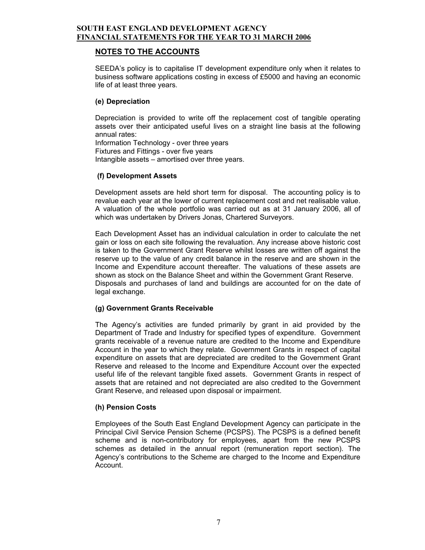## **NOTES TO THE ACCOUNTS**

SEEDA's policy is to capitalise IT development expenditure only when it relates to business software applications costing in excess of £5000 and having an economic life of at least three years.

### **(e) Depreciation**

Depreciation is provided to write off the replacement cost of tangible operating assets over their anticipated useful lives on a straight line basis at the following annual rates: Information Technology - over three years Fixtures and Fittings - over five years Intangible assets – amortised over three years.

### **(f) Development Assets**

Development assets are held short term for disposal. The accounting policy is to revalue each year at the lower of current replacement cost and net realisable value. A valuation of the whole portfolio was carried out as at 31 January 2006, all of which was undertaken by Drivers Jonas, Chartered Surveyors.

Each Development Asset has an individual calculation in order to calculate the net gain or loss on each site following the revaluation. Any increase above historic cost is taken to the Government Grant Reserve whilst losses are written off against the reserve up to the value of any credit balance in the reserve and are shown in the Income and Expenditure account thereafter. The valuations of these assets are shown as stock on the Balance Sheet and within the Government Grant Reserve. Disposals and purchases of land and buildings are accounted for on the date of legal exchange.

### **(g) Government Grants Receivable**

The Agency's activities are funded primarily by grant in aid provided by the Department of Trade and Industry for specified types of expenditure. Government grants receivable of a revenue nature are credited to the Income and Expenditure Account in the year to which they relate. Government Grants in respect of capital expenditure on assets that are depreciated are credited to the Government Grant Reserve and released to the Income and Expenditure Account over the expected useful life of the relevant tangible fixed assets. Government Grants in respect of assets that are retained and not depreciated are also credited to the Government Grant Reserve, and released upon disposal or impairment.

### **(h)Pension Costs**

Employees of the South East England Development Agency can participate in the Principal Civil Service Pension Scheme (PCSPS). The PCSPS is a defined benefit scheme and is non-contributory for employees, apart from the new PCSPS schemes as detailed in the annual report (remuneration report section). The Agency's contributions to the Scheme are charged to the Income and Expenditure Account.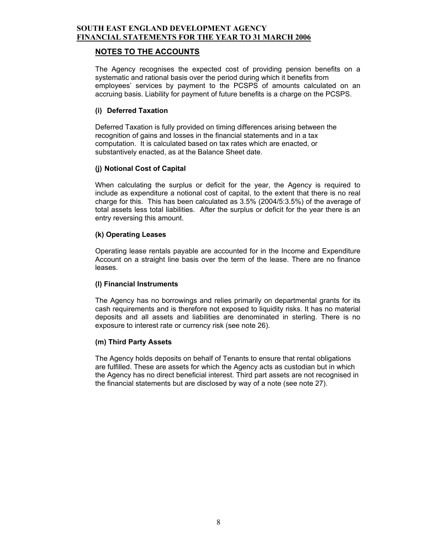## **NOTES TO THE ACCOUNTS**

The Agency recognises the expected cost of providing pension benefits on a systematic and rational basis over the period during which it benefits from employees' services by payment to the PCSPS of amounts calculated on an accruing basis. Liability for payment of future benefits is a charge on the PCSPS.

### **(i) Deferred Taxation**

Deferred Taxation is fully provided on timing differences arising between the recognition of gains and losses in the financial statements and in a tax computation. It is calculated based on tax rates which are enacted, or substantively enacted, as at the Balance Sheet date.

## **(j) Notional Cost of Capital**

When calculating the surplus or deficit for the year, the Agency is required to include as expenditure a notional cost of capital, to the extent that there is no real charge for this. This has been calculated as 3.5% (2004/5:3.5%) of the average of total assets less total liabilities. After the surplus or deficit for the year there is an entry reversing this amount.

### **(k) Operating Leases**

Operating lease rentals payable are accounted for in the Income and Expenditure Account on a straight line basis over the term of the lease. There are no finance leases.

### **(l) Financial Instruments**

The Agency has no borrowings and relies primarily on departmental grants for its cash requirements and is therefore not exposed to liquidity risks. It has no material deposits and all assets and liabilities are denominated in sterling. There is no exposure to interest rate or currency risk (see note 26).

### **(m) Third Party Assets**

The Agency holds deposits on behalf of Tenants to ensure that rental obligations are fulfilled. These are assets for which the Agency acts as custodian but in which the Agency has no direct beneficial interest. Third part assets are not recognised in the financial statements but are disclosed by way of a note (see note 27).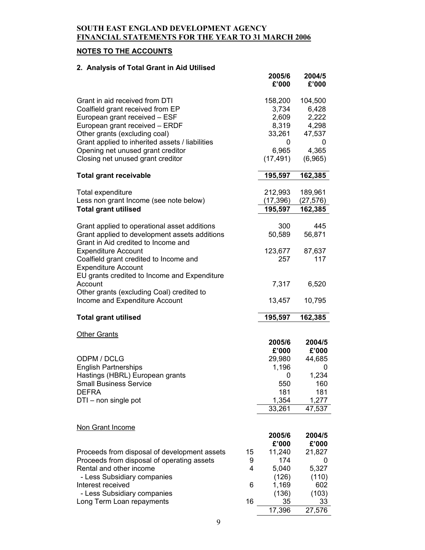# **NOTES TO THE ACCOUNTS**

# **2. Analysis of Total Grant in Aid Utilised**

|                                                                                      |    | 2005/6<br>£'000 | 2004/5<br>£'000 |
|--------------------------------------------------------------------------------------|----|-----------------|-----------------|
| Grant in aid received from DTI                                                       |    | 158,200         | 104,500         |
| Coalfield grant received from EP                                                     |    | 3,734           | 6,428           |
| European grant received - ESF                                                        |    | 2,609           | 2,222           |
| European grant received - ERDF                                                       |    | 8,319           | 4,298           |
| Other grants (excluding coal)                                                        |    | 33,261          | 47,537          |
| Grant applied to inherited assets / liabilities                                      |    | 0               | 0               |
| Opening net unused grant creditor                                                    |    | 6,965           | 4,365           |
| Closing net unused grant creditor                                                    |    | (17, 491)       | (6,965)         |
| <b>Total grant receivable</b>                                                        |    | 195,597         | 162,385         |
| Total expenditure                                                                    |    | 212,993         | 189,961         |
| Less non grant Income (see note below)                                               |    | (17, 396)       | (27, 576)       |
| <b>Total grant utilised</b>                                                          |    | 195,597         | 162,385         |
| Grant applied to operational asset additions                                         |    | 300             | 445             |
| Grant applied to development assets additions<br>Grant in Aid credited to Income and |    | 50,589          | 56,871          |
| <b>Expenditure Account</b>                                                           |    | 123,677         | 87,637          |
| Coalfield grant credited to Income and                                               |    | 257             | 117             |
| <b>Expenditure Account</b>                                                           |    |                 |                 |
| EU grants credited to Income and Expenditure                                         |    |                 |                 |
| Account                                                                              |    | 7,317           | 6,520           |
| Other grants (excluding Coal) credited to                                            |    |                 |                 |
| Income and Expenditure Account                                                       |    | 13,457          | 10,795          |
| <b>Total grant utilised</b>                                                          |    | 195,597         | 162,385         |
|                                                                                      |    |                 |                 |
| <b>Other Grants</b>                                                                  |    | 2005/6          | 2004/5          |
|                                                                                      |    | £'000           | £'000           |
| ODPM / DCLG                                                                          |    | 29,980          | 44,685          |
| <b>English Partnerships</b>                                                          |    | 1,196           | 0               |
| Hastings (HBRL) European grants                                                      |    | 0               | 1,234           |
| <b>Small Business Service</b>                                                        |    | 550             | 160             |
| <b>DEFRA</b>                                                                         |    | 181             | 181             |
| DTI - non single pot                                                                 |    | 1,354           | 1,277           |
|                                                                                      |    | 33,261          | 47,537          |
| Non Grant Income                                                                     |    |                 |                 |
|                                                                                      |    | 2005/6          | 2004/5          |
|                                                                                      |    | £'000           | £'000           |
| Proceeds from disposal of development assets                                         | 15 | 11,240          | 21,827          |
| Proceeds from disposal of operating assets                                           | 9  | 174             | 0               |
| Rental and other income                                                              | 4  | 5,040           | 5,327           |
| - Less Subsidiary companies                                                          |    | (126)           | (110)           |
| Interest received                                                                    | 6  | 1,169           | 602             |
| - Less Subsidiary companies                                                          |    | (136)           | (103)           |
| Long Term Loan repayments                                                            | 16 | 35              | 33              |
|                                                                                      |    | 17,396          | 27,576          |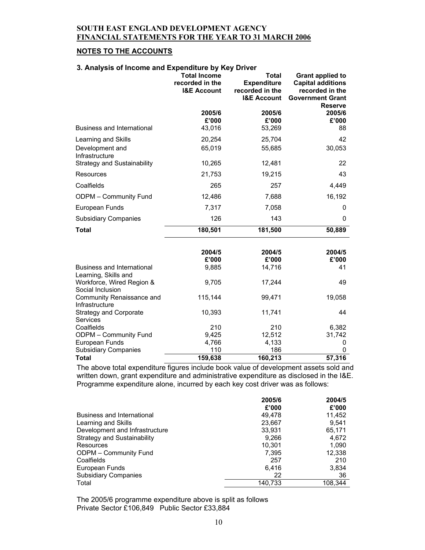### **NOTES TO THE ACCOUNTS**

### **3. Analysis of Income and Expenditure by Key Driver**

|                                                           | <b>Total Income</b><br>recorded in the<br><b>I&amp;E Account</b> | Total<br><b>Expenditure</b><br>recorded in the<br><b>I&amp;E Account</b> | Grant applied to<br><b>Capital additions</b><br>recorded in the<br><b>Government Grant</b><br><b>Reserve</b> |
|-----------------------------------------------------------|------------------------------------------------------------------|--------------------------------------------------------------------------|--------------------------------------------------------------------------------------------------------------|
| <b>Business and International</b>                         | 2005/6<br>£'000<br>43,016                                        | 2005/6<br>£'000<br>53,269                                                | 2005/6<br>£'000<br>88                                                                                        |
|                                                           |                                                                  |                                                                          | 42                                                                                                           |
| Learning and Skills<br>Development and<br>Infrastructure  | 20,254<br>65,019                                                 | 25,704<br>55,685                                                         | 30,053                                                                                                       |
| <b>Strategy and Sustainability</b>                        | 10,265                                                           | 12,481                                                                   | 22                                                                                                           |
| Resources                                                 | 21,753                                                           | 19,215                                                                   | 43                                                                                                           |
| Coalfields                                                | 265                                                              | 257                                                                      | 4,449                                                                                                        |
| ODPM - Community Fund                                     | 12,486                                                           | 7,688                                                                    | 16,192                                                                                                       |
| European Funds                                            | 7,317                                                            | 7,058                                                                    | 0                                                                                                            |
| <b>Subsidiary Companies</b>                               | 126                                                              | 143                                                                      | 0                                                                                                            |
| <b>Total</b>                                              | 180,501                                                          | 181,500                                                                  | 50,889                                                                                                       |
|                                                           |                                                                  |                                                                          |                                                                                                              |
|                                                           | 2004/5<br>£'000                                                  | 2004/5<br>£'000                                                          | 2004/5<br>£'000                                                                                              |
| <b>Business and International</b><br>Learning, Skills and | 9,885                                                            | 14,716                                                                   | 41                                                                                                           |
| Workforce, Wired Region &<br>Social Inclusion             | 9,705                                                            | 17,244                                                                   | 49                                                                                                           |
| Community Renaissance and<br>Infrastructure               | 115,144                                                          | 99,471                                                                   | 19,058                                                                                                       |
| <b>Strategy and Corporate</b><br><b>Services</b>          | 10,393                                                           | 11,741                                                                   | 44                                                                                                           |
| Coalfields                                                | 210                                                              | 210                                                                      | 6,382                                                                                                        |
| ODPM - Community Fund                                     | 9,425                                                            | 12,512                                                                   | 31,742                                                                                                       |
| European Funds                                            | 4,766<br>110                                                     | 4,133<br>186                                                             | 0<br>0                                                                                                       |
| <b>Subsidiary Companies</b><br><b>Total</b>               | 159,638                                                          | 160,213                                                                  | 57,316                                                                                                       |

The above total expenditure figures include book value of development assets sold and written down, grant expenditure and administrative expenditure as disclosed in the I&E. Programme expenditure alone, incurred by each key cost driver was as follows:

|                                    | 2005/6  | 2004/5  |
|------------------------------------|---------|---------|
|                                    | £'000   | £'000   |
| Business and International         | 49.478  | 11,452  |
| Learning and Skills                | 23,667  | 9.541   |
| Development and Infrastructure     | 33.931  | 65,171  |
| <b>Strategy and Sustainability</b> | 9,266   | 4,672   |
| Resources                          | 10.301  | 1,090   |
| <b>ODPM - Community Fund</b>       | 7.395   | 12,338  |
| Coalfields                         | 257     | 210     |
| European Funds                     | 6.416   | 3,834   |
| <b>Subsidiary Companies</b>        | 22      | 36      |
| Total                              | 140.733 | 108.344 |

The 2005/6 programme expenditure above is split as follows Private Sector £106,849 Public Sector £33,884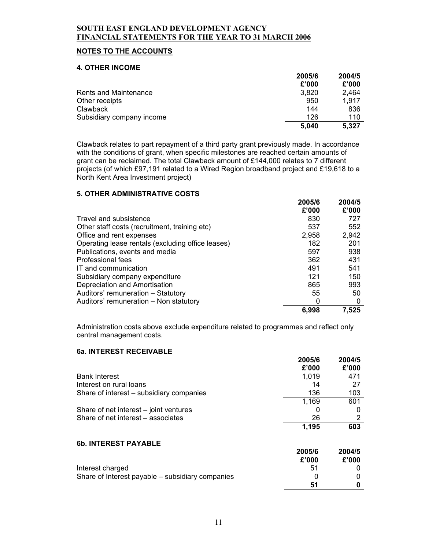### **NOTES TO THE ACCOUNTS**

#### **4. OTHER INCOME**

|                           | 2005/6 | 2004/5 |
|---------------------------|--------|--------|
|                           | £'000  | £'000  |
| Rents and Maintenance     | 3,820  | 2.464  |
| Other receipts            | 950    | 1.917  |
| Clawback                  | 144    | 836    |
| Subsidiary company income | 126    | 110    |
|                           | 5,040  | 5,327  |

Clawback relates to part repayment of a third party grant previously made. In accordance with the conditions of grant, when specific milestones are reached certain amounts of grant can be reclaimed. The total Clawback amount of £144,000 relates to 7 different projects (of which £97,191 related to a Wired Region broadband project and £19,618 to a North Kent Area Investment project)

#### **5. OTHER ADMINISTRATIVE COSTS**

|                                                   | 2005/6 | 2004/5 |
|---------------------------------------------------|--------|--------|
|                                                   | £'000  | £'000  |
| Travel and subsistence                            | 830    | 727    |
| Other staff costs (recruitment, training etc)     | 537    | 552    |
| Office and rent expenses                          | 2,958  | 2,942  |
| Operating lease rentals (excluding office leases) | 182    | 201    |
| Publications, events and media                    | 597    | 938    |
| Professional fees                                 | 362    | 431    |
| IT and communication                              | 491    | 541    |
| Subsidiary company expenditure                    | 121    | 150    |
| Depreciation and Amortisation                     | 865    | 993    |
| Auditors' remuneration - Statutory                | 55     | 50     |
| Auditors' remuneration - Non statutory            | 0      | 0      |
|                                                   | 6.998  | 7,525  |

Administration costs above exclude expenditure related to programmes and reflect only central management costs.

### **6a. INTEREST RECEIVABLE**

|                                          | 2005/6 | 2004/5 |
|------------------------------------------|--------|--------|
|                                          | £'000  | £'000  |
| <b>Bank Interest</b>                     | 1,019  | 471    |
| Interest on rural loans                  | 14     | 27     |
| Share of interest - subsidiary companies | 136    | 103    |
|                                          | 1,169  | 601    |
| Share of net interest - joint ventures   | O      |        |
| Share of net interest - associates       | 26     |        |
|                                          | 1.195  | 603    |

## **6b. INTEREST PAYABLE**

|                                                  | zuu ju | 2004/J |
|--------------------------------------------------|--------|--------|
|                                                  | £'000  | £'000  |
| Interest charged                                 | .51    |        |
| Share of Interest payable – subsidiary companies |        |        |
|                                                  | 51     |        |

**2005/6** 

**2004/5**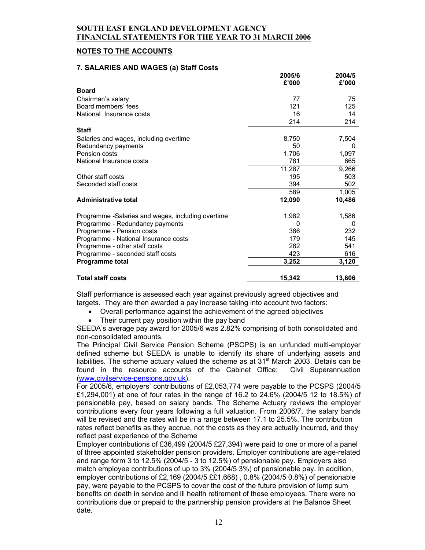### **NOTES TO THE ACCOUNTS**

#### **7. SALARIES AND WAGES (a) Staff Costs**

|                                                   | 2005/6<br>£'000 | 2004/5<br>£'000 |
|---------------------------------------------------|-----------------|-----------------|
| <b>Board</b>                                      |                 |                 |
| Chairman's salary                                 | 77              | 75              |
| Board members' fees                               | 121             | 125             |
| National Insurance costs                          | 16              | 14              |
|                                                   | 214             | 214             |
| <b>Staff</b>                                      |                 |                 |
| Salaries and wages, including overtime            | 8,750           | 7,504           |
| Redundancy payments                               | 50              | 0               |
| Pension costs                                     | 1,706           | 1,097           |
| National Insurance costs                          | 781             | 665             |
|                                                   | 11,287          | 9,266           |
| Other staff costs                                 | 195             | 503             |
| Seconded staff costs                              | 394             | 502             |
|                                                   | 589             | 1,005           |
| <b>Administrative total</b>                       | 12,090          | 10,486          |
|                                                   |                 |                 |
| Programme -Salaries and wages, including overtime | 1,982           | 1,586           |
| Programme - Redundancy payments                   | 0               | 0               |
| Programme - Pension costs                         | 386             | 232             |
| Programme - National Insurance costs              | 179             | 145             |
| Programme - other staff costs                     | 282             | 541             |
| Programme - seconded staff costs                  | 423             | 616             |
| <b>Programme total</b>                            | 3,252           | 3,120           |
| <b>Total staff costs</b>                          | 15,342          | 13,606          |

Staff performance is assessed each year against previously agreed objectives and targets. They are then awarded a pay increase taking into account two factors:

- Overall performance against the achievement of the agreed objectives
- Their current pay position within the pay band

SEEDA's average pay award for 2005/6 was 2.82% comprising of both consolidated and non-consolidated amounts.

The Principal Civil Service Pension Scheme (PSCPS) is an unfunded multi-employer defined scheme but SEEDA is unable to identify its share of underlying assets and liabilities. The scheme actuary valued the scheme as at  $31<sup>st</sup>$  March 2003. Details can be found in the resource accounts of the Cabinet Office; Civil Superannuation (www.civilservice-pensions.gov.uk).

For 2005/6, employers' contributions of £2,053,774 were payable to the PCSPS (2004/5 £1,294,001) at one of four rates in the range of 16.2 to 24.6% (2004/5 12 to 18.5%) of pensionable pay, based on salary bands. The Scheme Actuary reviews the employer contributions every four years following a full valuation. From 2006/7, the salary bands will be revised and the rates will be in a range between 17.1 to 25.5%. The contribution rates reflect benefits as they accrue, not the costs as they are actually incurred, and they reflect past experience of the Scheme

Employer contributions of £36,499 (2004/5 £27,394) were paid to one or more of a panel of three appointed stakeholder pension providers. Employer contributions are age-related and range form 3 to 12.5% (2004/5 - 3 to 12.5%) of pensionable pay. Employers also match employee contributions of up to 3% (2004/5 3%) of pensionable pay. In addition, employer contributions of £2,169 (2004/5 ££1,668) , 0.8% (2004/5 0.8%) of pensionable pay, were payable to the PCSPS to cover the cost of the future provision of lump sum benefits on death in service and ill health retirement of these employees. There were no contributions due or prepaid to the partnership pension providers at the Balance Sheet date.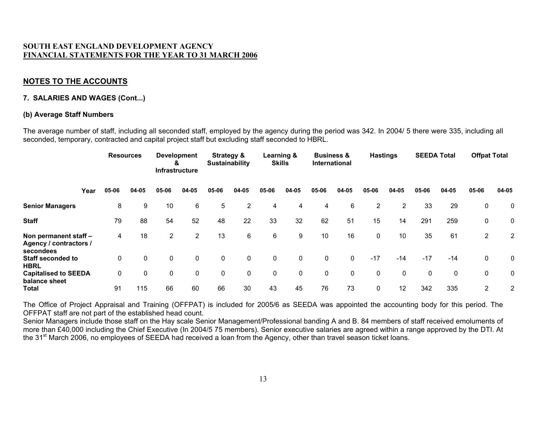# **NOTES TO THE ACCOUNTS**

#### **7. SALARIES AND WAGES (Cont...)**

#### **(b) Average Staff Numbers**

The average number of staff, including all seconded staff, employed by the agency during the period was 342. In 2004/ 5 there were 335, including all seconded, temporary, contracted and capital project staff but excluding staff seconded to HBRL.

|                                                              | <b>Resources</b> |       |       | <b>Development</b><br><b>Strategy &amp;</b><br>Sustainability<br>&<br><b>Infrastructure</b> |                |             | Learning &<br><b>Skills</b> |       | <b>Business &amp;</b><br><b>International</b> |       | <b>Hastings</b> |                | <b>SEEDA Total</b> |       | <b>Offpat Total</b> |                |                |
|--------------------------------------------------------------|------------------|-------|-------|---------------------------------------------------------------------------------------------|----------------|-------------|-----------------------------|-------|-----------------------------------------------|-------|-----------------|----------------|--------------------|-------|---------------------|----------------|----------------|
|                                                              | Year             | 05-06 | 04-05 | 05-06                                                                                       | 04-05          | 05-06       | 04-05                       | 05-06 | 04-05                                         | 05-06 | 04-05           | 05-06          | 04-05              | 05-06 | 04-05               | 05-06          | 04-05          |
| <b>Senior Managers</b>                                       |                  | 8     | 9     | 10                                                                                          | 6              | 5           | $\overline{2}$              | 4     | 4                                             | 4     | 6               | $\overline{2}$ | $\overline{2}$     | 33    | 29                  | 0              | 0              |
| <b>Staff</b>                                                 |                  | 79    | 88    | 54                                                                                          | 52             | 48          | 22                          | 33    | 32                                            | 62    | 51              | 15             | 14                 | 291   | 259                 | 0              | 0              |
| Non permanent staff -<br>Agency / contractors /<br>secondees |                  | 4     | 18    | 2                                                                                           | $\overline{2}$ | 13          | 6                           | 6     | 9                                             | 10    | 16              | 0              | 10                 | 35    | 61                  | 2              | $\overline{2}$ |
| <b>Staff seconded to</b><br><b>HBRL</b>                      |                  | 0     | 0     | 0                                                                                           | 0              | $\mathbf 0$ | $\mathbf 0$                 | 0     | 0                                             | 0     | $\mathbf{0}$    | $-17$          | $-14$              | $-17$ | $-14$               | 0              | 0              |
| <b>Capitalised to SEEDA</b><br>balance sheet                 |                  | 0     | 0     | 0                                                                                           | 0              | $\mathbf 0$ | 0                           | 0     | 0                                             | 0     | 0               | 0              | $\mathbf 0$        | 0     | 0                   | 0              | 0              |
| <b>Total</b>                                                 |                  | 91    | 115   | 66                                                                                          | 60             | 66          | 30                          | 43    | 45                                            | 76    | 73              | 0              | $12 \overline{ }$  | 342   | 335                 | $\overline{2}$ | $\overline{2}$ |

The Office of Project Appraisal and Training (OFFPAT) is included for 2005/6 as SEEDA was appointed the accounting body for this period. The OFFPAT staff are not part of the established head count.

Senior Managers include those staff on the Hay scale Senior Management/Professional banding A and B. 84 members of staff received emoluments of more than £40,000 including the Chief Executive (In 2004/5 75 members). Senior executive salaries are agreed within a range approved by the DTI. At the 31<sup>st</sup> March 2006, no employees of SEEDA had received a loan from the Agency, other than travel season ticket loans.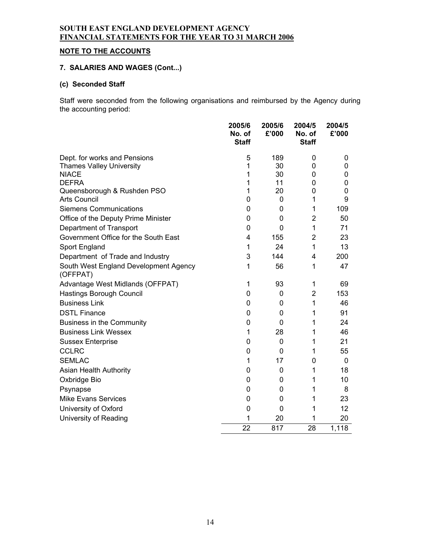# **NOTE TO THE ACCOUNTS**

# **7. SALARIES AND WAGES (Cont...)**

# **(c) Seconded Staff**

Staff were seconded from the following organisations and reimbursed by the Agency during the accounting period:

|                                                    | 2005/6<br>No. of<br><b>Staff</b> | 2005/6<br>£'000 | 2004/5<br>No. of<br><b>Staff</b> | 2004/5<br>£'000 |
|----------------------------------------------------|----------------------------------|-----------------|----------------------------------|-----------------|
| Dept. for works and Pensions                       | 5                                | 189             | 0                                | 0               |
| <b>Thames Valley University</b>                    | 1                                | 30              | 0                                | 0               |
| <b>NIACE</b>                                       | 1                                | 30              | 0                                | 0               |
| <b>DEFRA</b>                                       | 1                                | 11              | 0                                | 0               |
| Queensborough & Rushden PSO<br><b>Arts Council</b> | 1<br>0                           | 20<br>0         | 0<br>1                           | 0<br>9          |
| <b>Siemens Communications</b>                      |                                  |                 |                                  |                 |
|                                                    | 0                                | 0               | 1                                | 109<br>50       |
| Office of the Deputy Prime Minister                | 0                                | 0               | 2                                |                 |
| Department of Transport                            | 0                                | 0               | 1                                | 71              |
| Government Office for the South East               | 4                                | 155             | $\overline{2}$                   | 23              |
| Sport England                                      | 1                                | 24              | 1                                | 13              |
| Department of Trade and Industry                   | 3                                | 144             | 4                                | 200             |
| South West England Development Agency<br>(OFFPAT)  | 1                                | 56              | 1                                | 47              |
| Advantage West Midlands (OFFPAT)                   | 1                                | 93              | 1                                | 69              |
| Hastings Borough Council                           | 0                                | 0               | $\overline{2}$                   | 153             |
| <b>Business Link</b>                               | 0                                | 0               | 1                                | 46              |
| <b>DSTL Finance</b>                                | 0                                | 0               | 1                                | 91              |
| <b>Business in the Community</b>                   | 0                                | 0               | 1                                | 24              |
| <b>Business Link Wessex</b>                        | 1                                | 28              | 1                                | 46              |
| <b>Sussex Enterprise</b>                           | 0                                | 0               | 1                                | 21              |
| <b>CCLRC</b>                                       | 0                                | 0               | 1                                | 55              |
| <b>SEMLAC</b>                                      | 1                                | 17              | 0                                | 0               |
| Asian Health Authority                             | 0                                | 0               | 1                                | 18              |
| Oxbridge Bio                                       | 0                                | 0               | 1                                | 10              |
| Psynapse                                           | 0                                | 0               | 1                                | 8               |
| <b>Mike Evans Services</b>                         | 0                                | 0               | 1                                | 23              |
| University of Oxford                               | 0                                | 0               | 1                                | 12              |
| University of Reading                              | 1                                | 20              | 1                                | 20              |
|                                                    | 22                               | 817             | 28                               | 1,118           |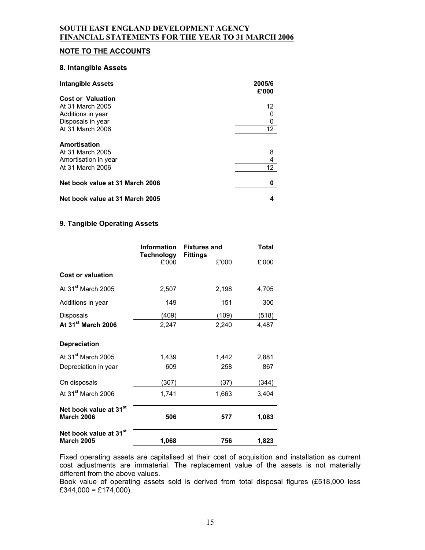### **NOTE TO THE ACCOUNTS**

#### **8. Intangible Assets**

| <b>Intangible Assets</b>        | 2005/6<br>£'000 |
|---------------------------------|-----------------|
| <b>Cost or Valuation</b>        |                 |
| At 31 March 2005                | 12              |
| Additions in year               | 0               |
| Disposals in year               | 0               |
| At 31 March 2006                | 12 <sup>°</sup> |
| Amortisation                    |                 |
| At 31 March 2005                | 8               |
| Amortisation in year            | 4               |
| At 31 March 2006                | 12              |
| Net book value at 31 March 2006 | 0               |
| Net book value at 31 March 2005 |                 |

### **9. Tangible Operating Assets**

|                                                         | <b>Information</b><br><b>Technology</b> | <b>Fixtures and</b><br><b>Fittings</b> | <b>Total</b> |
|---------------------------------------------------------|-----------------------------------------|----------------------------------------|--------------|
|                                                         | £'000                                   | £'000                                  | £'000        |
| <b>Cost or valuation</b>                                |                                         |                                        |              |
| At 31 <sup>st</sup> March 2005                          | 2,507                                   | 2,198                                  | 4,705        |
| Additions in year                                       | 149                                     | 151                                    | 300          |
| <b>Disposals</b>                                        | (409)                                   | (109)                                  | (518)        |
| At 31 <sup>st</sup> March 2006                          | 2,247                                   | 2,240                                  | 4,487        |
| <b>Depreciation</b>                                     |                                         |                                        |              |
| At 31 <sup>st</sup> March 2005                          | 1,439                                   | 1,442                                  | 2,881        |
| Depreciation in year                                    | 609                                     | 258                                    | 867          |
| On disposals                                            | (307)                                   | (37)                                   | (344)        |
| At 31 <sup>st</sup> March 2006                          | 1,741                                   | 1,663                                  | 3,404        |
| Net book value at 31 <sup>st</sup>                      |                                         |                                        |              |
| <b>March 2006</b>                                       | 506                                     | 577                                    | 1,083        |
| Net book value at 31 <sup>st</sup><br><b>March 2005</b> | 1,068                                   | 756                                    | 1,823        |

Fixed operating assets are capitalised at their cost of acquisition and installation as current cost adjustments are immaterial. The replacement value of the assets is not materially different from the above values.

Book value of operating assets sold is derived from total disposal figures (£518,000 less  $£344,000 = £174,000$ .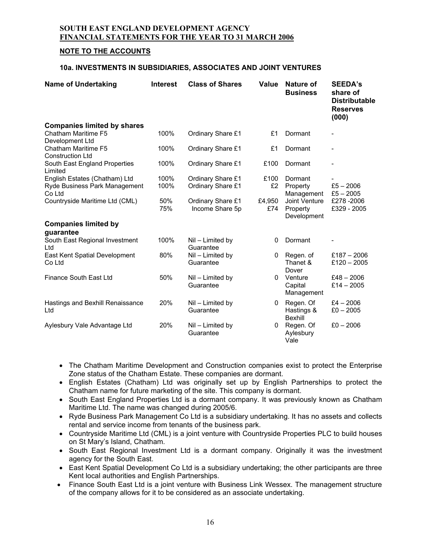### **NOTE TO THE ACCOUNTS**

#### **10a. INVESTMENTS IN SUBSIDIARIES, ASSOCIATES AND JOINT VENTURES**

| <b>Name of Undertaking</b>                                     | <b>Interest</b> | <b>Class of Shares</b>                 | Value         | Nature of<br><b>Business</b>             | <b>SEEDA's</b><br>share of<br><b>Distributable</b><br><b>Reserves</b><br>(000) |
|----------------------------------------------------------------|-----------------|----------------------------------------|---------------|------------------------------------------|--------------------------------------------------------------------------------|
| <b>Companies limited by shares</b><br>Chatham Maritime F5      | 100%            | Ordinary Share £1                      | £1            | Dormant                                  |                                                                                |
| Development Ltd                                                |                 |                                        |               |                                          |                                                                                |
| <b>Chatham Maritime F5</b><br><b>Construction Ltd</b>          | 100%            | Ordinary Share £1                      | £1            | Dormant                                  |                                                                                |
| South East England Properties<br>Limited                       | 100%            | Ordinary Share £1                      | £100          | Dormant                                  | $\overline{\phantom{0}}$                                                       |
| English Estates (Chatham) Ltd<br>Ryde Business Park Management | 100%<br>100%    | Ordinary Share £1<br>Ordinary Share £1 | £100<br>£2    | Dormant<br>Property                      | $£5 - 2006$                                                                    |
| Co Ltd                                                         |                 |                                        |               | Management                               | $£5 - 2005$                                                                    |
| Countryside Maritime Ltd (CML)                                 | 50%<br>75%      | Ordinary Share £1<br>Income Share 5p   | £4,950<br>£74 | Joint Venture<br>Property<br>Development | £278-2006<br>£329 - 2005                                                       |
| <b>Companies limited by</b>                                    |                 |                                        |               |                                          |                                                                                |
| guarantee                                                      |                 |                                        |               |                                          |                                                                                |
| South East Regional Investment<br>Ltd                          | 100%            | Nil - Limited by<br>Guarantee          | 0             | Dormant                                  |                                                                                |
| East Kent Spatial Development<br>Co Ltd                        | 80%             | Nil - Limited by<br>Guarantee          | 0             | Regen. of<br>Thanet &<br>Dover           | £187 $-$ 2006<br>£120 $-$ 2005                                                 |
| Finance South East Ltd                                         | 50%             | $Nil$ – Limited by<br>Guarantee        | 0             | Venture<br>Capital<br>Management         | $£48 - 2006$<br>$£14 - 2005$                                                   |
| Hastings and Bexhill Renaissance<br>Ltd                        | 20%             | Nil - Limited by<br>Guarantee          | 0             | Regen. Of<br>Hastings &<br>Bexhill       | $£4 - 2006$<br>$£0 - 2005$                                                     |
| Aylesbury Vale Advantage Ltd                                   | 20%             | Nil - Limited by<br>Guarantee          | 0             | Regen. Of<br>Aylesbury<br>Vale           | $£0 - 2006$                                                                    |

- The Chatham Maritime Development and Construction companies exist to protect the Enterprise Zone status of the Chatham Estate. These companies are dormant.
- English Estates (Chatham) Ltd was originally set up by English Partnerships to protect the Chatham name for future marketing of the site. This company is dormant.
- South East England Properties Ltd is a dormant company. It was previously known as Chatham Maritime Ltd. The name was changed during 2005/6.
- Ryde Business Park Management Co Ltd is a subsidiary undertaking. It has no assets and collects rental and service income from tenants of the business park.
- Countryside Maritime Ltd (CML) is a joint venture with Countryside Properties PLC to build houses on St Mary's Island, Chatham.
- South East Regional Investment Ltd is a dormant company. Originally it was the investment agency for the South East.
- East Kent Spatial Development Co Ltd is a subsidiary undertaking; the other participants are three Kent local authorities and English Partnerships.
- Finance South East Ltd is a joint venture with Business Link Wessex. The management structure of the company allows for it to be considered as an associate undertaking.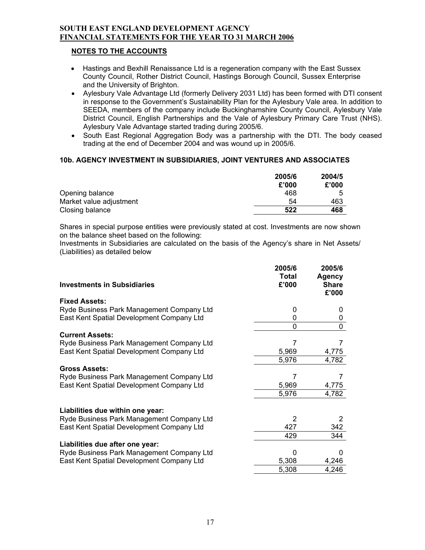### **NOTES TO THE ACCOUNTS**

- Hastings and Bexhill Renaissance Ltd is a regeneration company with the East Sussex County Council, Rother District Council, Hastings Borough Council, Sussex Enterprise and the University of Brighton.
- Aylesbury Vale Advantage Ltd (formerly Delivery 2031 Ltd) has been formed with DTI consent in response to the Government's Sustainability Plan for the Aylesbury Vale area. In addition to SEEDA, members of the company include Buckinghamshire County Council, Aylesbury Vale District Council, English Partnerships and the Vale of Aylesbury Primary Care Trust (NHS). Aylesbury Vale Advantage started trading during 2005/6.
- South East Regional Aggregation Body was a partnership with the DTI. The body ceased trading at the end of December 2004 and was wound up in 2005/6.

## **10b. AGENCY INVESTMENT IN SUBSIDIARIES, JOINT VENTURES AND ASSOCIATES**

|                         | 2005/6<br>£'000 | 2004/5<br>£'000 |
|-------------------------|-----------------|-----------------|
| Opening balance         | 468             | ҕ               |
| Market value adjustment | 54              | 463             |
| Closing balance         | 522             | 468             |

Shares in special purpose entities were previously stated at cost. Investments are now shown on the balance sheet based on the following:

Investments in Subsidiaries are calculated on the basis of the Agency's share in Net Assets/ (Liabilities) as detailed below

| <b>Investments in Subsidiaries</b>        | 2005/6<br>Total<br>£'000 | 2005/6<br>Agency<br><b>Share</b><br>£'000 |
|-------------------------------------------|--------------------------|-------------------------------------------|
| <b>Fixed Assets:</b>                      |                          |                                           |
| Ryde Business Park Management Company Ltd | 0                        | $\mathbf{0}$                              |
| East Kent Spatial Development Company Ltd | 0                        | 0                                         |
|                                           | 0                        | $\Omega$                                  |
| <b>Current Assets:</b>                    |                          |                                           |
| Ryde Business Park Management Company Ltd | 7                        |                                           |
| East Kent Spatial Development Company Ltd | 5,969                    | 4,775                                     |
|                                           | 5,976                    | 4,782                                     |
| <b>Gross Assets:</b>                      |                          |                                           |
| Ryde Business Park Management Company Ltd | 7                        |                                           |
| East Kent Spatial Development Company Ltd | 5,969                    | 4,775                                     |
|                                           | 5,976                    | 4,782                                     |
| Liabilities due within one year:          |                          |                                           |
| Ryde Business Park Management Company Ltd | $\mathcal{P}$            | 2                                         |
| East Kent Spatial Development Company Ltd | 427                      | 342                                       |
|                                           | 429                      | 344                                       |
| Liabilities due after one year:           |                          |                                           |
| Ryde Business Park Management Company Ltd |                          |                                           |
| East Kent Spatial Development Company Ltd | 5,308                    | 4,246                                     |
|                                           | 5,308                    | 4,246                                     |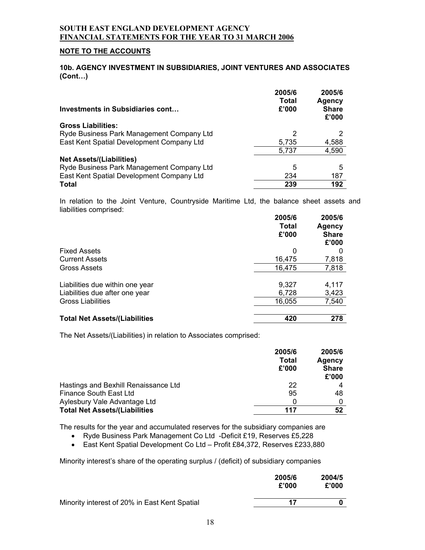### **NOTE TO THE ACCOUNTS**

#### **10b. AGENCY INVESTMENT IN SUBSIDIARIES, JOINT VENTURES AND ASSOCIATES (Cont…)**

| <b>Investments in Subsidiaries cont</b>   | 2005/6<br><b>Total</b><br>£'000 | 2005/6<br>Agency<br><b>Share</b><br>£'000 |
|-------------------------------------------|---------------------------------|-------------------------------------------|
| <b>Gross Liabilities:</b>                 |                                 |                                           |
| Ryde Business Park Management Company Ltd |                                 |                                           |
| East Kent Spatial Development Company Ltd | 5,735                           | 4,588                                     |
|                                           | 5,737                           | 4,590                                     |
| <b>Net Assets/(Liabilities)</b>           |                                 |                                           |
| Ryde Business Park Management Company Ltd | 5                               | 5                                         |
| East Kent Spatial Development Company Ltd | 234                             | 187                                       |
| <b>Total</b>                              | 239                             | 192                                       |

In relation to the Joint Venture, Countryside Maritime Ltd, the balance sheet assets and liabilities comprised:

|                                      | 2005/6<br>Total<br>£'000 | 2005/6<br>Agency<br><b>Share</b><br>£'000 |
|--------------------------------------|--------------------------|-------------------------------------------|
| <b>Fixed Assets</b>                  | 0                        |                                           |
| <b>Current Assets</b>                | 16,475                   | 7,818                                     |
| Gross Assets                         | 16,475                   | 7,818                                     |
| Liabilities due within one year      | 9,327                    | 4,117                                     |
| Liabilities due after one year       | 6,728                    | 3,423                                     |
| <b>Gross Liabilities</b>             | 16,055                   | 7,540                                     |
| <b>Total Net Assets/(Liabilities</b> | 420                      | 278                                       |

The Net Assets/(Liabilities) in relation to Associates comprised:

|                                      | 2005/6<br>Total<br>£'000 | 2005/6<br>Agency<br><b>Share</b><br>£'000 |
|--------------------------------------|--------------------------|-------------------------------------------|
| Hastings and Bexhill Renaissance Ltd | 22                       |                                           |
| Finance South East Ltd               | 95                       | 48                                        |
| Aylesbury Vale Advantage Ltd         | 0                        |                                           |
| <b>Total Net Assets/(Liabilities</b> | 117                      | 52                                        |

The results for the year and accumulated reserves for the subsidiary companies are

• Ryde Business Park Management Co Ltd -Deficit £19, Reserves £5,228

• East Kent Spatial Development Co Ltd – Profit £84,372, Reserves £233,880

Minority interest's share of the operating surplus / (deficit) of subsidiary companies

|                                               | 2005/6<br>£'000 | 2004/5<br>£'000 |
|-----------------------------------------------|-----------------|-----------------|
| Minority interest of 20% in East Kent Spatial | 17              |                 |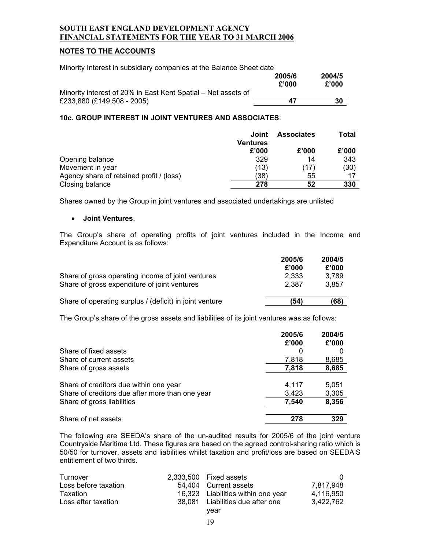### **NOTES TO THE ACCOUNTS**

| Minority Interest in subsidiary companies at the Balance Sheet date |                 |                 |
|---------------------------------------------------------------------|-----------------|-----------------|
|                                                                     | 2005/6<br>£'000 | 2004/5<br>£'000 |
| Minority interest of 20% in East Kent Spatial – Net assets of       |                 |                 |
| £233,880 (£149,508 - 2005)                                          | 47              | 30              |

#### **10c. GROUP INTEREST IN JOINT VENTURES AND ASSOCIATES**:

|                                          | Joint<br><b>Ventures</b> | <b>Associates</b> | Total |
|------------------------------------------|--------------------------|-------------------|-------|
|                                          | £'000                    | £'000             | £'000 |
| Opening balance                          | 329                      | 14                | 343   |
| Movement in year                         | (13)                     | (17)              | (30)  |
| Agency share of retained profit / (loss) | (38)                     | 55                | 17    |
| Closing balance                          | 278                      | 52                | 330   |

Shares owned by the Group in joint ventures and associated undertakings are unlisted

#### • **Joint Ventures**.

The Group's share of operating profits of joint ventures included in the Income and Expenditure Account is as follows:

|                                                                                                   | 2005/6<br>£'000 | 2004/5<br>£'000 |
|---------------------------------------------------------------------------------------------------|-----------------|-----------------|
| Share of gross operating income of joint ventures<br>Share of gross expenditure of joint ventures | 2,333<br>2.387  | 3.789<br>3.857  |
| Share of operating surplus / (deficit) in joint venture                                           | (54)            | (68)            |

The Group's share of the gross assets and liabilities of its joint ventures was as follows:

|                                                 | 2005/6 | 2004/5 |
|-------------------------------------------------|--------|--------|
|                                                 | £'000  | £'000  |
| Share of fixed assets                           |        |        |
| Share of current assets                         | 7,818  | 8,685  |
| Share of gross assets                           | 7,818  | 8,685  |
| Share of creditors due within one year          | 4,117  | 5,051  |
| Share of creditors due after more than one year | 3,423  | 3,305  |
| Share of gross liabilities                      | 7,540  | 8,356  |
| Share of net assets                             | 278    | 329    |

The following are SEEDA's share of the un-audited results for 2005/6 of the joint venture Countryside Maritime Ltd. These figures are based on the agreed control-sharing ratio which is 50/50 for turnover, assets and liabilities whilst taxation and profit/loss are based on SEEDA'S entitlement of two thirds.

| Turnover             | 2.333.500 Fixed assets             |           |
|----------------------|------------------------------------|-----------|
| Loss before taxation | 54.404 Current assets              | 7.817.948 |
| Taxation             | 16,323 Liabilities within one year | 4.116.950 |
| Loss after taxation  | 38,081 Liabilities due after one   | 3.422.762 |
|                      | vear                               |           |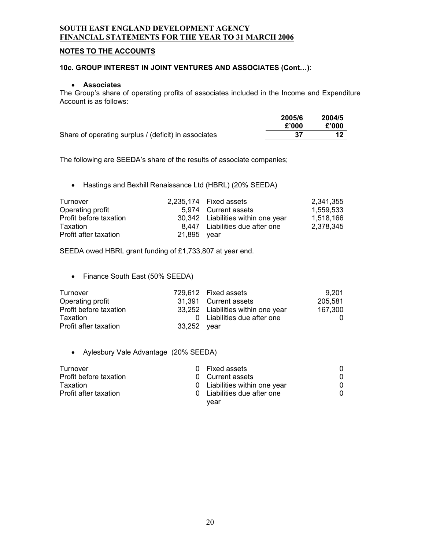# **NOTES TO THE ACCOUNTS**

#### **10c. GROUP INTEREST IN JOINT VENTURES AND ASSOCIATES (Cont…)**:

#### • **Associates**

The Group's share of operating profits of associates included in the Income and Expenditure Account is as follows:

|                                                      | 2005/6 | 2004/5 |
|------------------------------------------------------|--------|--------|
|                                                      | £'000  | £'000  |
| Share of operating surplus / (deficit) in associates |        |        |

The following are SEEDA's share of the results of associate companies;

• Hastings and Bexhill Renaissance Ltd (HBRL) (20% SEEDA)

| Turnover               |             | 2,235,174 Fixed assets             | 2.341.355 |
|------------------------|-------------|------------------------------------|-----------|
| Operating profit       |             | 5.974 Current assets               | 1.559.533 |
| Profit before taxation |             | 30,342 Liabilities within one year | 1,518,166 |
| Taxation               |             | 8,447 Liabilities due after one    | 2,378,345 |
| Profit after taxation  | 21,895 year |                                    |           |

SEEDA owed HBRL grant funding of £1,733,807 at year end.

• Finance South East (50% SEEDA)

| Turnover               |             | 729.612 Fixed assets               | 9.201   |
|------------------------|-------------|------------------------------------|---------|
| Operating profit       |             | 31.391 Current assets              | 205,581 |
| Profit before taxation |             | 33,252 Liabilities within one year | 167.300 |
| Taxation               |             | 0 Liabilities due after one        |         |
| Profit after taxation  | 33,252 year |                                    |         |

### • Aylesbury Vale Advantage (20% SEEDA)

| Turnover               | n        | Fixed assets                |   |
|------------------------|----------|-----------------------------|---|
| Profit before taxation | $\Omega$ | Current assets              | 0 |
| Taxation               |          | Liabilities within one year | 0 |
| Profit after taxation  |          | Liabilities due after one   | 0 |
|                        |          | vear                        |   |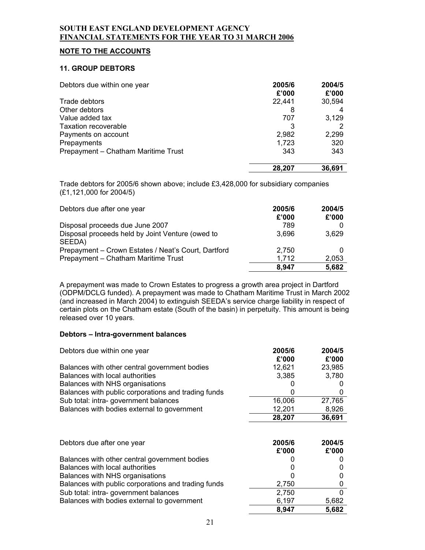### **NOTE TO THE ACCOUNTS**

#### **11. GROUP DEBTORS**

| Debtors due within one year         | 2005/6<br>£'000 | 2004/5<br>£'000 |
|-------------------------------------|-----------------|-----------------|
| Trade debtors                       | 22,441          | 30,594          |
| Other debtors                       | 8               |                 |
| Value added tax                     | 707             | 3,129           |
| Taxation recoverable                |                 |                 |
| Payments on account                 | 2,982           | 2,299           |
| Prepayments                         | 1,723           | 320             |
| Prepayment - Chatham Maritime Trust | 343             | 343             |
|                                     | 28,207          | 36.691          |

Trade debtors for 2005/6 shown above; include £3,428,000 for subsidiary companies (£1,121,000 for 2004/5)

| Debtors due after one year                                 | 2005/6<br>£'000 | 2004/5<br>£'000 |
|------------------------------------------------------------|-----------------|-----------------|
| Disposal proceeds due June 2007                            | 789             |                 |
| Disposal proceeds held by Joint Venture (owed to<br>SEEDA) | 3,696           | 3,629           |
| Prepayment - Crown Estates / Neat's Court, Dartford        | 2,750           |                 |
| Prepayment - Chatham Maritime Trust                        | 1,712           | 2,053           |
|                                                            | 8.947           | 5,682           |

A prepayment was made to Crown Estates to progress a growth area project in Dartford (ODPM/DCLG funded). A prepayment was made to Chatham Maritime Trust in March 2002 (and increased in March 2004) to extinguish SEEDA's service charge liability in respect of certain plots on the Chatham estate (South of the basin) in perpetuity. This amount is being released over 10 years.

### **Debtors – Intra-government balances**

| Debtors due within one year                         | 2005/6<br>£'000 | 2004/5<br>£'000 |
|-----------------------------------------------------|-----------------|-----------------|
| Balances with other central government bodies       | 12,621          | 23,985          |
| Balances with local authorities                     | 3,385           | 3,780           |
| Balances with NHS organisations                     |                 |                 |
| Balances with public corporations and trading funds | 0               |                 |
| Sub total: intra-government balances                | 16,006          | 27,765          |
| Balances with bodies external to government         | 12,201          | 8,926           |
|                                                     | 28,207          | 36,691          |
|                                                     |                 |                 |

| Debtors due after one year                          | 2005/6<br>£'000 | 2004/5<br>£'000 |
|-----------------------------------------------------|-----------------|-----------------|
| Balances with other central government bodies       |                 |                 |
| Balances with local authorities                     | 0               |                 |
| Balances with NHS organisations                     | 0               |                 |
| Balances with public corporations and trading funds | 2.750           |                 |
| Sub total: intra-government balances                | 2,750           |                 |
| Balances with bodies external to government         | 6,197           | 5,682           |
|                                                     | 8,947           | 5,682           |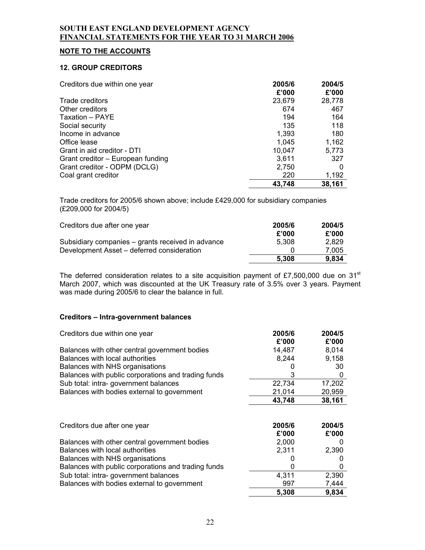## **NOTE TO THE ACCOUNTS**

#### **12. GROUP CREDITORS**

| Creditors due within one year     | 2005/6 | 2004/5 |
|-----------------------------------|--------|--------|
|                                   | £'000  | £'000  |
| Trade creditors                   | 23,679 | 28,778 |
| Other creditors                   | 674    | 467    |
| Taxation - PAYE                   | 194    | 164    |
| Social security                   | 135    | 118    |
| Income in advance                 | 1,393  | 180    |
| Office lease                      | 1,045  | 1,162  |
| Grant in aid creditor - DTI       | 10,047 | 5,773  |
| Grant creditor – European funding | 3,611  | 327    |
| Grant creditor - ODPM (DCLG)      | 2,750  | 0      |
| Coal grant creditor               | 220    | 1,192  |
|                                   | 43,748 | 38,161 |

Trade creditors for 2005/6 shown above; include £429,000 for subsidiary companies (£209,000 for 2004/5)

| Creditors due after one year                      | 2005/6 | 2004/5 |
|---------------------------------------------------|--------|--------|
|                                                   | £'000  | £'000  |
| Subsidiary companies – grants received in advance | 5.308  | 2.829  |
| Development Asset – deferred consideration        |        | 7.005  |
|                                                   | 5.308  | 9,834  |

The deferred consideration relates to a site acquisition payment of £7,500,000 due on 31<sup>st</sup> March 2007, which was discounted at the UK Treasury rate of 3.5% over 3 years. Payment was made during 2005/6 to clear the balance in full.

#### **Creditors – Intra-government balances**

| Creditors due within one year                       | 2005/6 | 2004/5       |
|-----------------------------------------------------|--------|--------------|
|                                                     | £'000  | £'000        |
| Balances with other central government bodies       | 14,487 | 8,014        |
| Balances with local authorities                     | 8,244  | 9,158        |
| Balances with NHS organisations                     |        | 30           |
| Balances with public corporations and trading funds | 3      | 0            |
| Sub total: intra-government balances                | 22,734 | 17,202       |
| Balances with bodies external to government         | 21,014 | 20,959       |
|                                                     | 43,748 | 38,161       |
| Creditors due after one year                        | 2005/6 | 2004/5       |
|                                                     | £'000  | £'000        |
| Balances with other central government bodies       | 2,000  | $\mathbf{0}$ |
| Balances with local authorities                     | 2,311  | 2,390        |
| Balances with NHS organisations                     |        |              |
| Balances with public corporations and trading funds | 0      | 0            |
| Sub total: intra-government balances                | 4,311  | 2,390        |
| Balances with bodies external to government         | 997    | 7,444        |
|                                                     | 5,308  | 9,834        |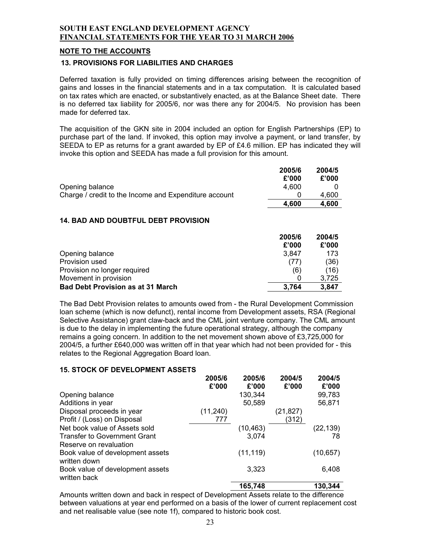### **NOTE TO THE ACCOUNTS**

#### **13. PROVISIONS FOR LIABILITIES AND CHARGES**

Deferred taxation is fully provided on timing differences arising between the recognition of gains and losses in the financial statements and in a tax computation. It is calculated based on tax rates which are enacted, or substantively enacted, as at the Balance Sheet date. There is no deferred tax liability for 2005/6, nor was there any for 2004/5. No provision has been made for deferred tax.

The acquisition of the GKN site in 2004 included an option for English Partnerships (EP) to purchase part of the land. If invoked, this option may involve a payment, or land transfer, by SEEDA to EP as returns for a grant awarded by EP of £4.6 million. EP has indicated they will invoke this option and SEEDA has made a full provision for this amount.

|                                                       | 2005/6 | 2004/5 |
|-------------------------------------------------------|--------|--------|
|                                                       | £'000  | £'000  |
| Opening balance                                       | 4.600  |        |
| Charge / credit to the Income and Expenditure account |        | 4.600  |
|                                                       | 4.600  | 4.600  |

### **14. BAD AND DOUBTFUL DEBT PROVISION**

|                                          | 2005/6<br>£'000 | 2004/5<br>£'000 |
|------------------------------------------|-----------------|-----------------|
| Opening balance                          | 3.847           | 173             |
| Provision used                           | (77)            | (36)            |
| Provision no longer required             | (6)             | (16)            |
| Movement in provision                    |                 | 3.725           |
| <b>Bad Debt Provision as at 31 March</b> | 3.764           | 3.847           |

The Bad Debt Provision relates to amounts owed from - the Rural Development Commission loan scheme (which is now defunct), rental income from Development assets, RSA (Regional Selective Assistance) grant claw-back and the CML joint venture company. The CML amount is due to the delay in implementing the future operational strategy, although the company remains a going concern. In addition to the net movement shown above of £3,725,000 for 2004/5, a further £640,000 was written off in that year which had not been provided for - this relates to the Regional Aggregation Board loan.

### **15. STOCK OF DEVELOPMENT ASSETS**

|                                                  | 2005/6<br>£'000 | 2005/6<br>£'000 | 2004/5<br>£'000 | 2004/5<br>£'000 |
|--------------------------------------------------|-----------------|-----------------|-----------------|-----------------|
| Opening balance                                  |                 | 130,344         |                 | 99,783          |
| Additions in year                                |                 | 50,589          |                 | 56,871          |
| Disposal proceeds in year                        | (11, 240)       |                 | (21,827)        |                 |
| Profit / (Loss) on Disposal                      | 777             |                 | (312)           |                 |
| Net book value of Assets sold                    |                 | (10, 463)       |                 | (22, 139)       |
| <b>Transfer to Government Grant</b>              |                 | 3,074           |                 | 78              |
| Reserve on revaluation                           |                 |                 |                 |                 |
| Book value of development assets<br>written down |                 | (11, 119)       |                 | (10, 657)       |
| Book value of development assets<br>written back |                 | 3,323           |                 | 6,408           |
|                                                  |                 | 165,748         |                 | 130,344         |

Amounts written down and back in respect of Development Assets relate to the difference between valuations at year end performed on a basis of the lower of current replacement cost and net realisable value (see note 1f), compared to historic book cost.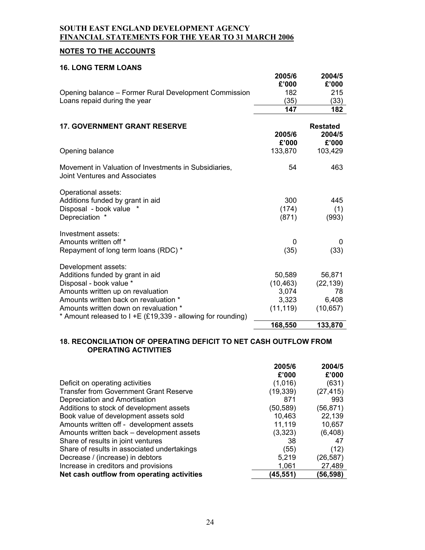# **NOTES TO THE ACCOUNTS**

#### **16. LONG TERM LOANS**

|                                                                                        | 2005/6       | 2004/5          |
|----------------------------------------------------------------------------------------|--------------|-----------------|
| Opening balance – Former Rural Development Commission                                  | £'000<br>182 | £'000<br>215    |
| Loans repaid during the year                                                           | (35)         | (33)            |
|                                                                                        | 147          | 182             |
|                                                                                        |              |                 |
| <b>17. GOVERNMENT GRANT RESERVE</b>                                                    |              | <b>Restated</b> |
|                                                                                        | 2005/6       | 2004/5          |
|                                                                                        | £'000        | £'000           |
| Opening balance                                                                        | 133,870      | 103,429         |
| Movement in Valuation of Investments in Subsidiaries,<br>Joint Ventures and Associates | 54           | 463             |
| Operational assets:                                                                    |              |                 |
| Additions funded by grant in aid                                                       | 300          | 445             |
| Disposal - book value                                                                  | (174)        | (1)             |
| Depreciation *                                                                         | (871)        | (993)           |
| Investment assets:                                                                     |              |                 |
| Amounts written off *                                                                  | 0            | 0               |
| Repayment of long term loans (RDC) *                                                   | (35)         | (33)            |
| Development assets:                                                                    |              |                 |
| Additions funded by grant in aid                                                       | 50,589       | 56,871          |
| Disposal - book value *                                                                | (10, 463)    | (22, 139)       |
| Amounts written up on revaluation                                                      | 3,074        | 78              |
| Amounts written back on revaluation *                                                  | 3,323        | 6,408           |
| Amounts written down on revaluation *                                                  | (11, 119)    | (10, 657)       |
| * Amount released to I +E (£19,339 - allowing for rounding)                            |              |                 |
|                                                                                        | 168,550      | 133,870         |

### **18. RECONCILIATION OF OPERATING DEFICIT TO NET CASH OUTFLOW FROM OPERATING ACTIVITIES**

|                                               | 2005/6    | 2004/5    |
|-----------------------------------------------|-----------|-----------|
|                                               | £'000     | £'000     |
| Deficit on operating activities               | (1,016)   | (631)     |
| <b>Transfer from Government Grant Reserve</b> | (19, 339) | (27, 415) |
| Depreciation and Amortisation                 | 871       | 993       |
| Additions to stock of development assets      | (50, 589) | (56, 871) |
| Book value of development assets sold         | 10,463    | 22,139    |
| Amounts written off - development assets      | 11,119    | 10,657    |
| Amounts written back – development assets     | (3,323)   | (6, 408)  |
| Share of results in joint ventures            | 38        | 47        |
| Share of results in associated undertakings   | (55)      | (12)      |
| Decrease / (increase) in debtors              | 5,219     | (26, 587) |
| Increase in creditors and provisions          | 1,061     | 27,489    |
| Net cash outflow from operating activities    | (45,551)  | (56,598)  |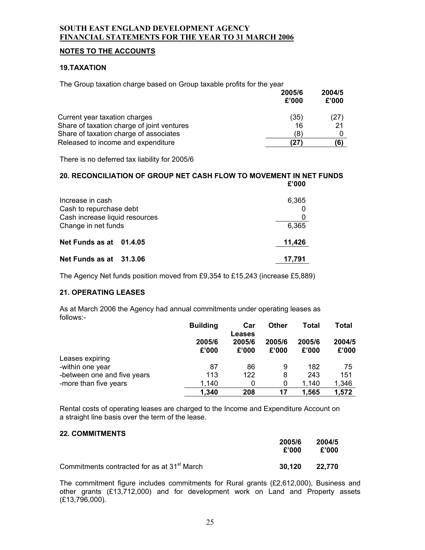### **NOTES TO THE ACCOUNTS**

### **19.TAXATION**

The Group taxation charge based on Group taxable profits for the year

|                                            | 2005/6<br>£'000 | 2004/5<br>£'000 |
|--------------------------------------------|-----------------|-----------------|
| Current year taxation charges              | (35)            | (27)            |
| Share of taxation charge of joint ventures | 16              | 21              |
| Share of taxation charge of associates     | (8)             |                 |
| Released to income and expenditure         |                 | (6)             |

There is no deferred tax liability for 2005/6

#### **20. RECONCILIATION OF GROUP NET CASH FLOW TO MOVEMENT IN NET FUNDS £'000**

| Increase in cash               | 6,365  |
|--------------------------------|--------|
| Cash to repurchase debt        |        |
| Cash increase liquid resources |        |
| Change in net funds            | 6,365  |
| Net Funds as at 01.4.05        | 11,426 |
| Net Funds as at 31.3.06        | 17,791 |

The Agency Net funds position moved from £9,354 to £15,243 (increase £5,889)

### **21. OPERATING LEASES**

As at March 2006 the Agency had annual commitments under operating leases as follows:-

|                             | <b>Building</b> | Car                              | <b>Other</b>    | <b>Total</b>    | <b>Total</b>    |
|-----------------------------|-----------------|----------------------------------|-----------------|-----------------|-----------------|
|                             | 2005/6<br>£'000 | <b>Leases</b><br>2005/6<br>£'000 | 2005/6<br>£'000 | 2005/6<br>£'000 | 2004/5<br>£'000 |
| Leases expiring             |                 |                                  |                 |                 |                 |
| -within one year            | 87              | 86                               | 9               | 182             | 75              |
| -between one and five years | 113             | 122                              | 8               | 243             | 151             |
| -more than five years       | 1,140           | 0                                | 0               | 1,140           | 1,346           |
|                             | 1,340           | 208                              | 17              | 1,565           | 1,572           |

Rental costs of operating leases are charged to the Income and Expenditure Account on a straight line basis over the term of the lease.

### **22. COMMITMENTS**

|                                                         | 2005/6<br>£'000 | 2004/5<br>£'000 |
|---------------------------------------------------------|-----------------|-----------------|
| Commitments contracted for as at 31 <sup>st</sup> March | 30.120          | 22,770          |

The commitment figure includes commitments for Rural grants (£2,612,000), Business and other grants (£13,712,000) and for development work on Land and Property assets (£13,796,000).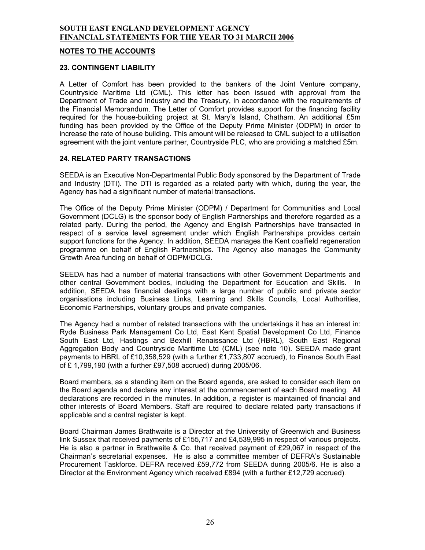#### **NOTES TO THE ACCOUNTS**

#### **23. CONTINGENT LIABILITY**

A Letter of Comfort has been provided to the bankers of the Joint Venture company, Countryside Maritime Ltd (CML). This letter has been issued with approval from the Department of Trade and Industry and the Treasury, in accordance with the requirements of the Financial Memorandum. The Letter of Comfort provides support for the financing facility required for the house-building project at St. Mary's Island, Chatham. An additional £5m funding has been provided by the Office of the Deputy Prime Minister (ODPM) in order to increase the rate of house building. This amount will be released to CML subject to a utilisation agreement with the joint venture partner, Countryside PLC, who are providing a matched £5m.

### **24. RELATED PARTY TRANSACTIONS**

SEEDA is an Executive Non-Departmental Public Body sponsored by the Department of Trade and Industry (DTI). The DTI is regarded as a related party with which, during the year, the Agency has had a significant number of material transactions.

The Office of the Deputy Prime Minister (ODPM) / Department for Communities and Local Government (DCLG) is the sponsor body of English Partnerships and therefore regarded as a related party. During the period, the Agency and English Partnerships have transacted in respect of a service level agreement under which English Partnerships provides certain support functions for the Agency. In addition, SEEDA manages the Kent coalfield regeneration programme on behalf of English Partnerships. The Agency also manages the Community Growth Area funding on behalf of ODPM/DCLG.

SEEDA has had a number of material transactions with other Government Departments and other central Government bodies, including the Department for Education and Skills. In addition, SEEDA has financial dealings with a large number of public and private sector organisations including Business Links, Learning and Skills Councils, Local Authorities, Economic Partnerships, voluntary groups and private companies.

The Agency had a number of related transactions with the undertakings it has an interest in: Ryde Business Park Management Co Ltd, East Kent Spatial Development Co Ltd, Finance South East Ltd, Hastings and Bexhill Renaissance Ltd (HBRL), South East Regional Aggregation Body and Countryside Maritime Ltd (CML) (see note 10). SEEDA made grant payments to HBRL of £10,358,529 (with a further £1,733,807 accrued), to Finance South East of £ 1,799,190 (with a further £97,508 accrued) during 2005/06.

Board members, as a standing item on the Board agenda, are asked to consider each item on the Board agenda and declare any interest at the commencement of each Board meeting. All declarations are recorded in the minutes. In addition, a register is maintained of financial and other interests of Board Members. Staff are required to declare related party transactions if applicable and a central register is kept.

Board Chairman James Brathwaite is a Director at the University of Greenwich and Business link Sussex that received payments of £155,717 and £4,539,995 in respect of various projects. He is also a partner in Brathwaite & Co. that received payment of £29,067 in respect of the Chairman's secretarial expenses. He is also a committee member of DEFRA's Sustainable Procurement Taskforce. DEFRA received £59,772 from SEEDA during 2005/6. He is also a Director at the Environment Agency which received £894 (with a further £12,729 accrued).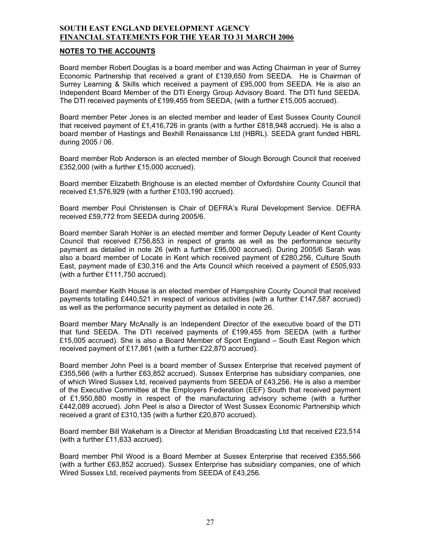#### **NOTES TO THE ACCOUNTS**

Board member Robert Douglas is a board member and was Acting Chairman in year of Surrey Economic Partnership that received a grant of £139,650 from SEEDA. He is Chairman of Surrey Learning & Skills which received a payment of £95,000 from SEEDA. He is also an Independent Board Member of the DTI Energy Group Advisory Board. The DTI fund SEEDA. The DTI received payments of £199,455 from SEEDA, (with a further £15,005 accrued).

Board member Peter Jones is an elected member and leader of East Sussex County Council that received payment of £1,416,726 in grants (with a further £818,948 accrued). He is also a board member of Hastings and Bexhill Renaissance Ltd (HBRL). SEEDA grant funded HBRL during 2005 / 06.

Board member Rob Anderson is an elected member of Slough Borough Council that received £352,000 (with a further £15,000 accrued).

Board member Elizabeth Brighouse is an elected member of Oxfordshire County Council that received £1,576,929 (with a further £103,190 accrued).

Board member Poul Christensen is Chair of DEFRA's Rural Development Service. DEFRA received £59,772 from SEEDA during 2005/6.

Board member Sarah Hohler is an elected member and former Deputy Leader of Kent County Council that received £756,853 in respect of grants as well as the performance security payment as detailed in note 26 (with a further £95,000 accrued). During 2005/6 Sarah was also a board member of Locate in Kent which received payment of £280,256, Culture South East, payment made of £30,316 and the Arts Council which received a payment of £505,933 (with a further £111,750 accrued).

Board member Keith House is an elected member of Hampshire County Council that received payments totalling £440,521 in respect of various activities (with a further £147,587 accrued) as well as the performance security payment as detailed in note 26.

Board member Mary McAnally is an Independent Director of the executive board of the DTI that fund SEEDA. The DTI received payments of £199,455 from SEEDA (with a further £15,005 accrued). She is also a Board Member of Sport England – South East Region which received payment of £17,861 (with a further £22,870 accrued).

Board member John Peel is a board member of Sussex Enterprise that received payment of £355,566 (with a further £63,852 accrued). Sussex Enterprise has subsidiary companies, one of which Wired Sussex Ltd, received payments from SEEDA of £43,256. He is also a member of the Executive Committee at the Employers Federation (EEF) South that received payment of £1,950,880 mostly in respect of the manufacturing advisory scheme (with a further £442,089 accrued). John Peel is also a Director of West Sussex Economic Partnership which received a grant of £310,135 (with a further £20,870 accrued).

Board member Bill Wakeham is a Director at Meridian Broadcasting Ltd that received £23,514 (with a further £11,633 accrued).

Board member Phil Wood is a Board Member at Sussex Enterprise that received £355,566 (with a further £63,852 accrued). Sussex Enterprise has subsidiary companies, one of which Wired Sussex Ltd, received payments from SEEDA of £43,256.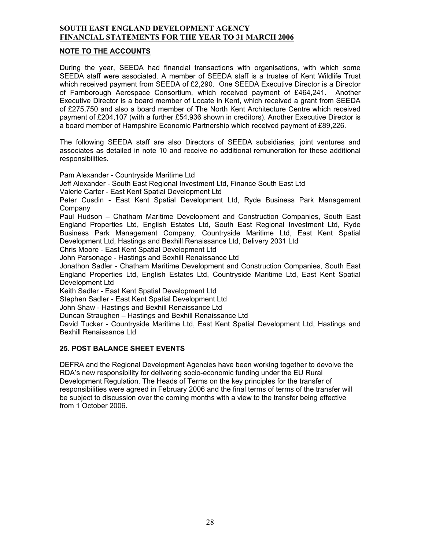### **NOTE TO THE ACCOUNTS**

During the year, SEEDA had financial transactions with organisations, with which some SEEDA staff were associated. A member of SEEDA staff is a trustee of Kent Wildlife Trust which received payment from SEEDA of £2,290. One SEEDA Executive Director is a Director of Farnborough Aerospace Consortium, which received payment of £464,241. Another Executive Director is a board member of Locate in Kent, which received a grant from SEEDA of £275,750 and also a board member of The North Kent Architecture Centre which received payment of £204,107 (with a further £54,936 shown in creditors). Another Executive Director is a board member of Hampshire Economic Partnership which received payment of £89,226.

The following SEEDA staff are also Directors of SEEDA subsidiaries, joint ventures and associates as detailed in note 10 and receive no additional remuneration for these additional responsibilities.

Pam Alexander - Countryside Maritime Ltd

Jeff Alexander - South East Regional Investment Ltd, Finance South East Ltd

Valerie Carter - East Kent Spatial Development Ltd

Peter Cusdin - East Kent Spatial Development Ltd, Ryde Business Park Management Company

Paul Hudson – Chatham Maritime Development and Construction Companies, South East England Properties Ltd, English Estates Ltd, South East Regional Investment Ltd, Ryde Business Park Management Company, Countryside Maritime Ltd, East Kent Spatial Development Ltd, Hastings and Bexhill Renaissance Ltd, Delivery 2031 Ltd

Chris Moore - East Kent Spatial Development Ltd

John Parsonage - Hastings and Bexhill Renaissance Ltd

Jonathon Sadler - Chatham Maritime Development and Construction Companies, South East England Properties Ltd, English Estates Ltd, Countryside Maritime Ltd, East Kent Spatial Development Ltd

Keith Sadler - East Kent Spatial Development Ltd

Stephen Sadler - East Kent Spatial Development Ltd

John Shaw - Hastings and Bexhill Renaissance Ltd

Duncan Straughen – Hastings and Bexhill Renaissance Ltd

David Tucker - Countryside Maritime Ltd, East Kent Spatial Development Ltd, Hastings and Bexhill Renaissance Ltd

### **25. POST BALANCE SHEET EVENTS**

DEFRA and the Regional Development Agencies have been working together to devolve the RDA's new responsibility for delivering socio-economic funding under the EU Rural Development Regulation. The Heads of Terms on the key principles for the transfer of responsibilities were agreed in February 2006 and the final terms of terms of the transfer will be subject to discussion over the coming months with a view to the transfer being effective from 1 October 2006.